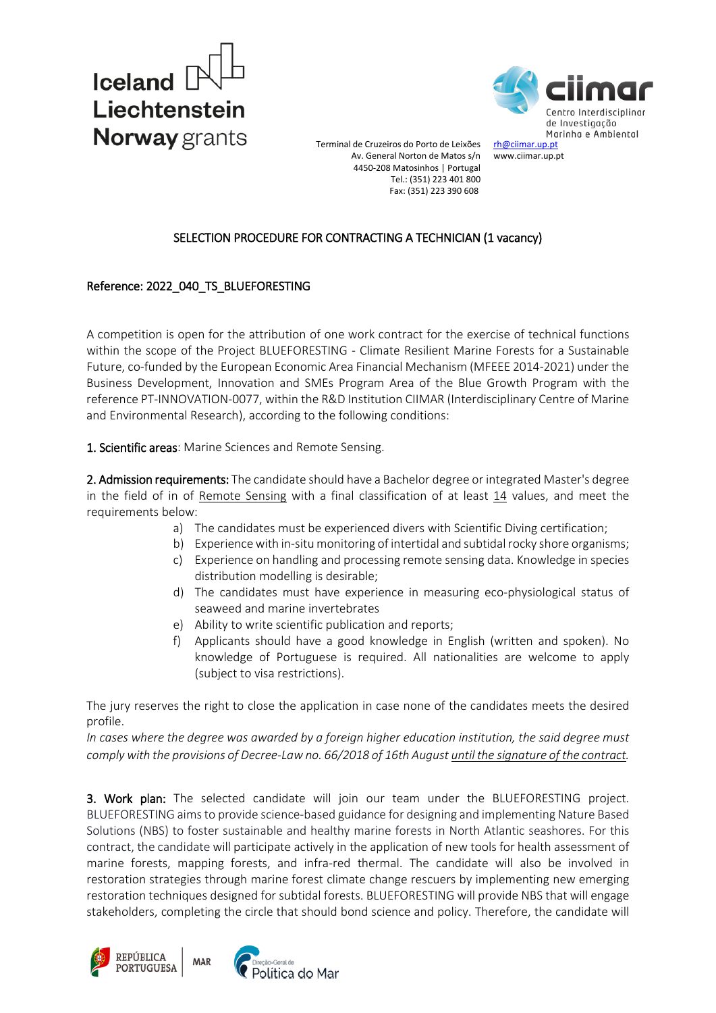



Terminal de Cruzeiros do Porto de Leixões Av. General Norton de Matos s/n 4450-208 Matosinhos | Portugal Tel.: (351) 223 401 800 Fax: (351) 223 390 608

## SELECTION PROCEDURE FOR CONTRACTING A TECHNICIAN (1 vacancy)

## Reference: 2022\_040\_TS\_BLUEFORESTING

A competition is open for the attribution of one work contract for the exercise of technical functions within the scope of the Project BLUEFORESTING - Climate Resilient Marine Forests for a Sustainable Future, co-funded by the European Economic Area Financial Mechanism (MFEEE 2014-2021) under the Business Development, Innovation and SMEs Program Area of the Blue Growth Program with the reference PT-INNOVATION-0077, within the R&D Institution CIIMAR (Interdisciplinary Centre of Marine and Environmental Research), according to the following conditions:

1. Scientific areas: Marine Sciences and Remote Sensing.

2. Admission requirements: The candidate should have a Bachelor degree or integrated Master's degree in the field of in of Remote Sensing with a final classification of at least 14 values, and meet the requirements below:

- a) The candidates must be experienced divers with Scientific Diving certification;
- b) Experience with in-situ monitoring of intertidal and subtidal rocky shore organisms;
- c) Experience on handling and processing remote sensing data. Knowledge in species distribution modelling is desirable;
- d) The candidates must have experience in measuring eco-physiological status of seaweed and marine invertebrates
- e) Ability to write scientific publication and reports;
- f) Applicants should have a good knowledge in English (written and spoken). No knowledge of Portuguese is required. All nationalities are welcome to apply (subject to visa restrictions).

The jury reserves the right to close the application in case none of the candidates meets the desired profile.

*In cases where the degree was awarded by a foreign higher education institution, the said degree must comply with the provisions of Decree-Law no. 66/2018 of 16th August until the signature of the contract.* 

3. Work plan: The selected candidate will join our team under the BLUEFORESTING project. BLUEFORESTING aims to provide science-based guidance for designing and implementing Nature Based Solutions (NBS) to foster sustainable and healthy marine forests in North Atlantic seashores. For this contract, the candidate will participate actively in the application of new tools for health assessment of marine forests, mapping forests, and infra-red thermal. The candidate will also be involved in restoration strategies through marine forest climate change rescuers by implementing new emerging restoration techniques designed for subtidal forests. BLUEFORESTING will provide NBS that will engage stakeholders, completing the circle that should bond science and policy. Therefore, the candidate will

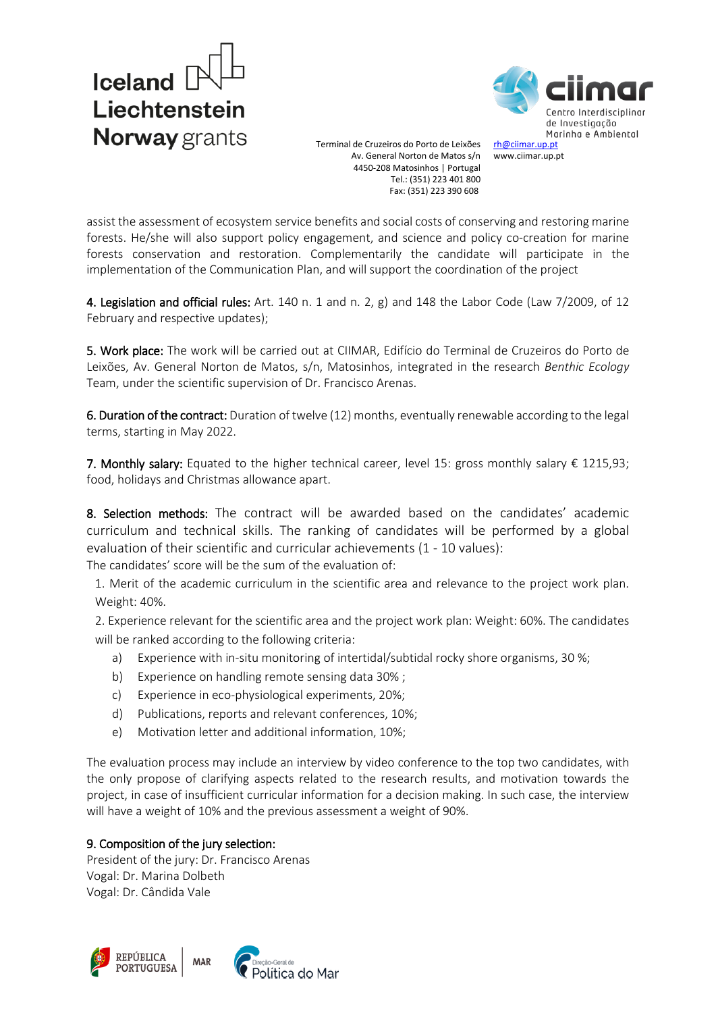

Centro Interdisciplingr de Investigação Marinha e Ambiental [rh@ciimar.up.pt](mailto:rh@ciimar.up.pt)

www.ciimar.up.pt

Terminal de Cruzeiros do Porto de Leixões Av. General Norton de Matos s/n 4450-208 Matosinhos | Portugal Tel.: (351) 223 401 800 Fax: (351) 223 390 608

assist the assessment of ecosystem service benefits and social costs of conserving and restoring marine forests. He/she will also support policy engagement, and science and policy co-creation for marine forests conservation and restoration. Complementarily the candidate will participate in the implementation of the Communication Plan, and will support the coordination of the project

4. Legislation and official rules: Art. 140 n. 1 and n. 2, g) and 148 the Labor Code (Law 7/2009, of 12 February and respective updates);

5. Work place: The work will be carried out at CIIMAR, Edifício do Terminal de Cruzeiros do Porto de Leixões, Av. General Norton de Matos, s/n, Matosinhos, integrated in the research *Benthic Ecology* Team, under the scientific supervision of Dr. Francisco Arenas.

6. Duration of the contract: Duration of twelve (12) months, eventually renewable according to the legal terms, starting in May 2022.

7. Monthly salary: Equated to the higher technical career, level 15: gross monthly salary € 1215,93; food, holidays and Christmas allowance apart.

8. Selection methods: The contract will be awarded based on the candidates' academic curriculum and technical skills. The ranking of candidates will be performed by a global evaluation of their scientific and curricular achievements (1 - 10 values): The candidates' score will be the sum of the evaluation of:

1. Merit of the academic curriculum in the scientific area and relevance to the project work plan. Weight: 40%.

2. Experience relevant for the scientific area and the project work plan: Weight: 60%. The candidates will be ranked according to the following criteria:

- a) Experience with in-situ monitoring of intertidal/subtidal rocky shore organisms, 30 %;
- b) Experience on handling remote sensing data 30% ;
- c) Experience in eco-physiological experiments, 20%;
- d) Publications, reports and relevant conferences, 10%;
- e) Motivation letter and additional information, 10%;

The evaluation process may include an interview by video conference to the top two candidates, with the only propose of clarifying aspects related to the research results, and motivation towards the project, in case of insufficient curricular information for a decision making. In such case, the interview will have a weight of 10% and the previous assessment a weight of 90%.

## 9. Composition of the jury selection:

President of the jury: Dr. Francisco Arenas Vogal: Dr. Marina Dolbeth Vogal: Dr. Cândida Vale